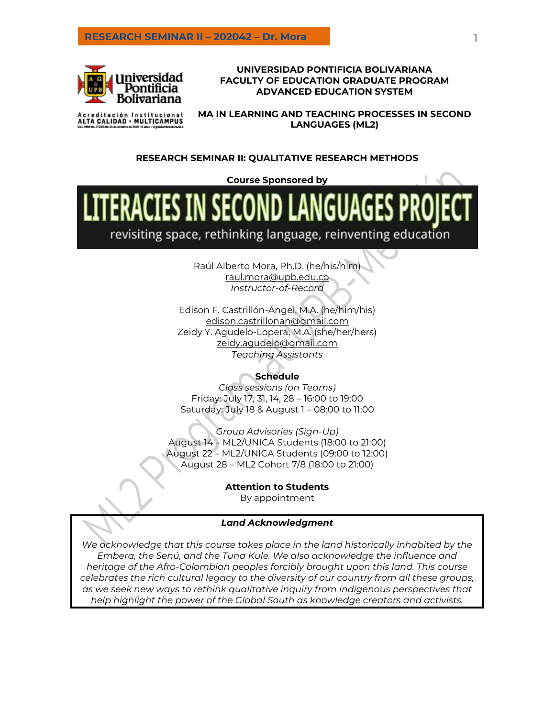

**UNIVERSIDAD PONTIFICIA BOLIVARIANA FACULTY OF EDUCATION GRADUATE PROGRAM ADVANCED EDUCATION SYSTEM**

Acreditación Institucional<br>ALTA CALIDAD + MULTICAMPUS

**MA IN LEARNING AND TEACHING PROCESSES IN SECOND LANGUAGES (ML2)**

#### **RESEARCH SEMINAR II: QUALITATIVE RESEARCH METHODS**

**Course Sponsored by**



Raúl Alberto Mora, Ph.D. (he/his/him) [raul.mora@upb.edu.co](mailto:raul.mora@upb.edu.co) *Instructor-of-Record*

Edison F. Castrillón-Ángel, M.A. (he/him/his) [edison.castrillonan@gmail.com](mailto:edison.castrillonan@gmail.com) Zeidy Y. Agudelo-Lopera, M.A. (she/her/hers) [zeidy.agudelo@gmail.com](mailto:zeidy.agudelo@gmail.com) *Teaching Assistants*

#### **Schedule**

*Class sessions (on Teams)* Friday: July 17, 31, 14, 28 – 16:00 to 19:00 Saturday: July 18 & August 1 – 08:00 to 11:00

*Group Advisories (Sign-Up)* August 14 – ML2/UNICA Students (18:00 to 21:00) August 22 – ML2/UNICA Students (09:00 to 12:00) August 28 – ML2 Cohort 7/8 (18:00 to 21:00)

> **Attention to Students** By appointment

### *Land Acknowledgment*

*We acknowledge that this course takes place in the land historically inhabited by the Embera, the Senú, and the Tuna Kule. We also acknowledge the influence and heritage of the Afro-Colombian peoples forcibly brought upon this land. This course celebrates the rich cultural legacy to the diversity of our country from all these groups, as we seek new ways to rethink qualitative inquiry from indigenous perspectives that help highlight the power of the Global South as knowledge creators and activists.*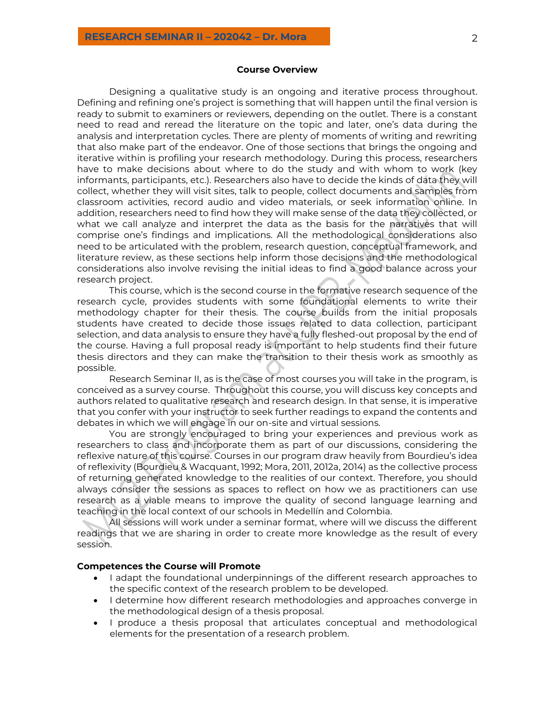### **Course Overview**

Designing a qualitative study is an ongoing and iterative process throughout. Defining and refining one's project is something that will happen until the final version is ready to submit to examiners or reviewers, depending on the outlet. There is a constant need to read and reread the literature on the topic and later, one's data during the analysis and interpretation cycles. There are plenty of moments of writing and rewriting that also make part of the endeavor. One of those sections that brings the ongoing and iterative within is profiling your research methodology. During this process, researchers have to make decisions about where to do the study and with whom to work (key informants, participants, etc.). Researchers also have to decide the kinds of data they will collect, whether they will visit sites, talk to people, collect documents and samples from classroom activities, record audio and video materials, or seek information online. In addition, researchers need to find how they will make sense of the data they collected, or what we call analyze and interpret the data as the basis for the narratives that will comprise one's findings and implications. All the methodological considerations also need to be articulated with the problem, research question, conceptual framework, and literature review, as these sections help inform those decisions and the methodological considerations also involve revising the initial ideas to find a good balance across your research project.

This course, which is the second course in the formative research sequence of the research cycle, provides students with some foundational elements to write their methodology chapter for their thesis. The course builds from the initial proposals students have created to decide those issues related to data collection, participant selection, and data analysis to ensure they have a fully fleshed-out proposal by the end of the course. Having a full proposal ready is important to help students find their future thesis directors and they can make the transition to their thesis work as smoothly as possible.

Research Seminar II, as is the case of most courses you will take in the program, is conceived as a survey course. Throughout this course, you will discuss key concepts and authors related to qualitative research and research design. In that sense, it is imperative that you confer with your instructor to seek further readings to expand the contents and debates in which we will engage in our on-site and virtual sessions.

You are strongly encouraged to bring your experiences and previous work as researchers to class and incorporate them as part of our discussions, considering the reflexive nature of this course. Courses in our program draw heavily from Bourdieu's idea of reflexivity (Bourdieu & Wacquant, 1992; Mora, 2011, 2012a, 2014) as the collective process of returning generated knowledge to the realities of our context. Therefore, you should always consider the sessions as spaces to reflect on how we as practitioners can use research as a viable means to improve the quality of second language learning and teaching in the local context of our schools in Medellín and Colombia.

All sessions will work under a seminar format, where will we discuss the different readings that we are sharing in order to create more knowledge as the result of every session.

## **Competences the Course will Promote**

- I adapt the foundational underpinnings of the different research approaches to the specific context of the research problem to be developed.
- **I** determine how different research methodologies and approaches converge in the methodological design of a thesis proposal.
- I produce a thesis proposal that articulates conceptual and methodological elements for the presentation of a research problem.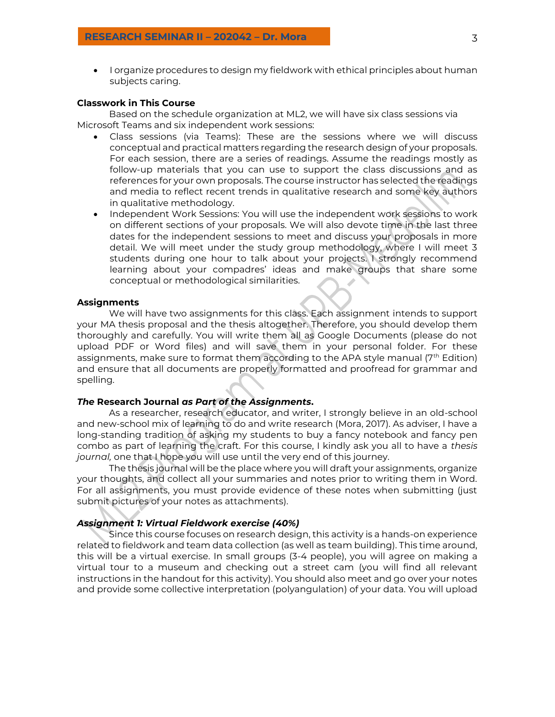• I organize procedures to design my fieldwork with ethical principles about human subjects caring.

#### **Classwork in This Course**

Based on the schedule organization at ML2, we will have six class sessions via Microsoft Teams and six independent work sessions:

- Class sessions (via Teams): These are the sessions where we will discuss conceptual and practical matters regarding the research design of your proposals. For each session, there are a series of readings. Assume the readings mostly as follow-up materials that you can use to support the class discussions and as references for your own proposals. The course instructor has selected the readings and media to reflect recent trends in qualitative research and some key authors in qualitative methodology.
- Independent Work Sessions: You will use the independent work sessions to work on different sections of your proposals. We will also devote time in the last three dates for the independent sessions to meet and discuss your proposals in more detail. We will meet under the study group methodology, where I will meet 3 students during one hour to talk about your projects. I strongly recommend learning about your compadres' ideas and make groups that share some conceptual or methodological similarities.

#### **Assignments**

We will have two assignments for this class. Each assignment intends to support your MA thesis proposal and the thesis altogether. Therefore, you should develop them thoroughly and carefully. You will write them all as Google Documents (please do not upload PDF or Word files) and will save them in your personal folder. For these assignments, make sure to format them according to the APA style manual (7<sup>th</sup> Edition) and ensure that all documents are properly formatted and proofread for grammar and spelling.

### *The* **Research Journal** *as Part of the Assignments***.**

As a researcher, research educator, and writer, I strongly believe in an old-school and new-school mix of learning to do and write research (Mora, 2017). As adviser, I have a long-standing tradition of asking my students to buy a fancy notebook and fancy pen combo as part of learning the craft. For this course, I kindly ask you all to have a *thesis journal,* one that I hope you will use until the very end of this journey.

The thesis journal will be the place where you will draft your assignments, organize your thoughts, and collect all your summaries and notes prior to writing them in Word. For all assignments, you must provide evidence of these notes when submitting (just submit pictures of your notes as attachments).

### *Assignment 1: Virtual Fieldwork exercise (40%)*

Since this course focuses on research design, this activity is a hands-on experience related to fieldwork and team data collection (as well as team building). This time around, this will be a virtual exercise. In small groups (3-4 people), you will agree on making a virtual tour to a museum and checking out a street cam (you will find all relevant instructions in the handout for this activity). You should also meet and go over your notes and provide some collective interpretation (polyangulation) of your data. You will upload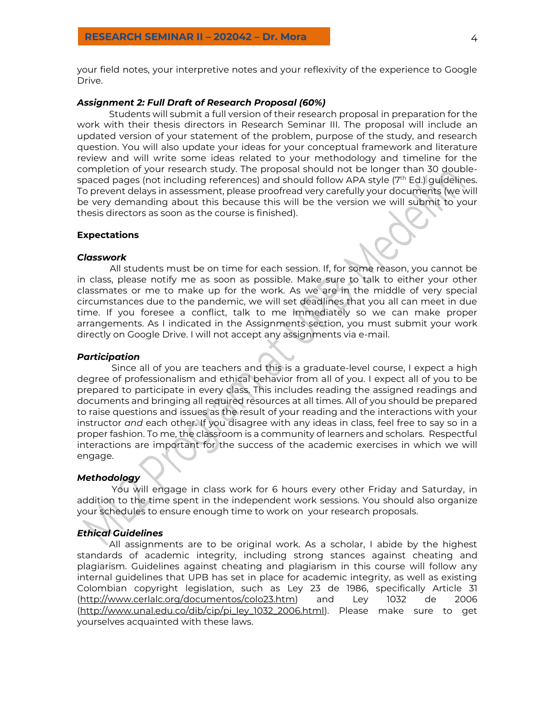your field notes, your interpretive notes and your reflexivity of the experience to Google Drive.

#### *Assignment 2: Full Draft of Research Proposal (60%)*

Students will submit a full version of their research proposal in preparation for the work with their thesis directors in Research Seminar III. The proposal will include an updated version of your statement of the problem, purpose of the study, and research question. You will also update your ideas for your conceptual framework and literature review and will write some ideas related to your methodology and timeline for the completion of your research study. The proposal should not be longer than 30 doublespaced pages (not including references) and should follow APA style ( $7<sup>th</sup>$  Ed.) guidelines. To prevent delays in assessment, please proofread very carefully your documents (we will be very demanding about this because this will be the version we will submit to your thesis directors as soon as the course is finished).

#### **Expectations**

#### *Classwork*

All students must be on time for each session. If, for some reason, you cannot be in class, please notify me as soon as possible. Make sure to talk to either your other classmates or me to make up for the work. As we are in the middle of very special circumstances due to the pandemic, we will set deadlines that you all can meet in due time. If you foresee a conflict, talk to me immediately so we can make proper arrangements. As I indicated in the Assignments section, you must submit your work directly on Google Drive. I will not accept any assignments via e-mail.

#### *Participation*

Since all of you are teachers and this is a graduate-level course, I expect a high degree of professionalism and ethical behavior from all of you. I expect all of you to be prepared to participate in every class. This includes reading the assigned readings and documents and bringing all required resources at all times. All of you should be prepared to raise questions and issues as the result of your reading and the interactions with your instructor *and* each other. If you disagree with any ideas in class, feel free to say so in a proper fashion. To me, the classroom is a community of learners and scholars. Respectful interactions are important for the success of the academic exercises in which we will engage.

#### *Methodology*

You will engage in class work for 6 hours every other Friday and Saturday, in addition to the time spent in the independent work sessions. You should also organize your schedules to ensure enough time to work on your research proposals.

# *Ethical Guidelines*

All assignments are to be original work. As a scholar, I abide by the highest standards of academic integrity, including strong stances against cheating and plagiarism. Guidelines against cheating and plagiarism in this course will follow any internal guidelines that UPB has set in place for academic integrity, as well as existing Colombian copyright legislation, such as Ley 23 de 1986, specifically Article 31 [\(http://www.cerlalc.org/documentos/colo23.htm\)](http://www.cerlalc.org/documentos/colo23.htm) and Ley 1032 de 2006 [\(http://www.unal.edu.co/dib/cip/pi\\_ley\\_1032\\_2006.html\)](http://www.unal.edu.co/dib/cip/pi_ley_1032_2006.html). Please make sure to get yourselves acquainted with these laws.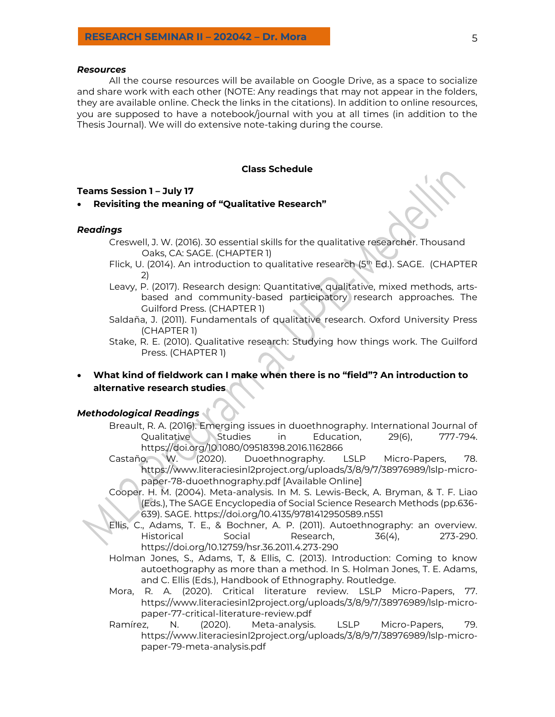### *Resources*

All the course resources will be available on Google Drive, as a space to socialize and share work with each other (NOTE: Any readings that may not appear in the folders, they are available online. Check the links in the citations). In addition to online resources, you are supposed to have a notebook/journal with you at all times (in addition to the Thesis Journal). We will do extensive note-taking during the course.

### **Class Schedule**

#### **Teams Session 1 – July 17**

**Revisiting the meaning of "Qualitative Research"**

#### *Readings*

- Creswell, J. W. (2016). 30 essential skills for the qualitative researcher. Thousand Oaks, CA: SAGE. (CHAPTER 1)
- Flick, U. (2014). An introduction to qualitative research (5<sup>th</sup> Ed.). SAGE. (CHAPTER 2)
- Leavy, P. (2017). Research design: Quantitative, qualitative, mixed methods, artsbased and community-based participatory research approaches. The Guilford Press. (CHAPTER 1)
- Saldaña, J. (2011). Fundamentals of qualitative research. Oxford University Press (CHAPTER 1)
- Stake, R. E. (2010). Qualitative research: Studying how things work. The Guilford Press. (CHAPTER 1)
- **What kind of fieldwork can I make when there is no "field"? An introduction to alternative research studies**

### *Methodological Readings*

- Breault, R. A. (2016). Emerging issues in duoethnography. International Journal of Qualitative Studies in Education, 29(6), 777-794. <https://doi.org/10.1080/09518398.2016.1162866>
- Castaño, W. (2020). Duoethnography. LSLP Micro-Papers, 78. [https://www.literaciesinl2project.org/uploads/3/8/9/7/38976989/lslp-micro](https://www.literaciesinl2project.org/uploads/3/8/9/7/38976989/lslp-micro-paper-78-duoethnography.pdf)[paper-78-duoethnography.pdf](https://www.literaciesinl2project.org/uploads/3/8/9/7/38976989/lslp-micro-paper-78-duoethnography.pdf) [Available Online]
- Cooper. H. M. (2004). Meta-analysis. In M. S. Lewis-Beck, A. Bryman, & T. F. Liao (Eds.), The SAGE Encyclopedia of Social Science Research Methods (pp.636- 639). SAGE.<https://doi.org/10.4135/9781412950589.n551>
- Ellis, C., Adams, T. E., & Bochner, A. P. (2011). Autoethnography: an overview. Historical Social Research, 36(4), 273-290. <https://doi.org/10.12759/hsr.36.2011.4.273-290>
- Holman Jones, S., Adams, T, & Ellis, C. (2013). Introduction: Coming to know autoethography as more than a method. In S. Holman Jones, T. E. Adams, and C. Ellis (Eds.), Handbook of Ethnography. Routledge.
- Mora, R. A. (2020). Critical literature review. LSLP Micro-Papers, 77. [https://www.literaciesinl2project.org/uploads/3/8/9/7/38976989/lslp-micro](https://www.literaciesinl2project.org/uploads/3/8/9/7/38976989/lslp-micro-paper-77-critical-literature-review.pdf)[paper-77-critical-literature-review.pdf](https://www.literaciesinl2project.org/uploads/3/8/9/7/38976989/lslp-micro-paper-77-critical-literature-review.pdf)
- Ramírez, N. (2020). Meta-analysis. LSLP Micro-Papers, 79. [https://www.literaciesinl2project.org/uploads/3/8/9/7/38976989/lslp-micro](https://www.literaciesinl2project.org/uploads/3/8/9/7/38976989/lslp-micro-paper-79-meta-analysis.pdf)[paper-79-meta-analysis.pdf](https://www.literaciesinl2project.org/uploads/3/8/9/7/38976989/lslp-micro-paper-79-meta-analysis.pdf)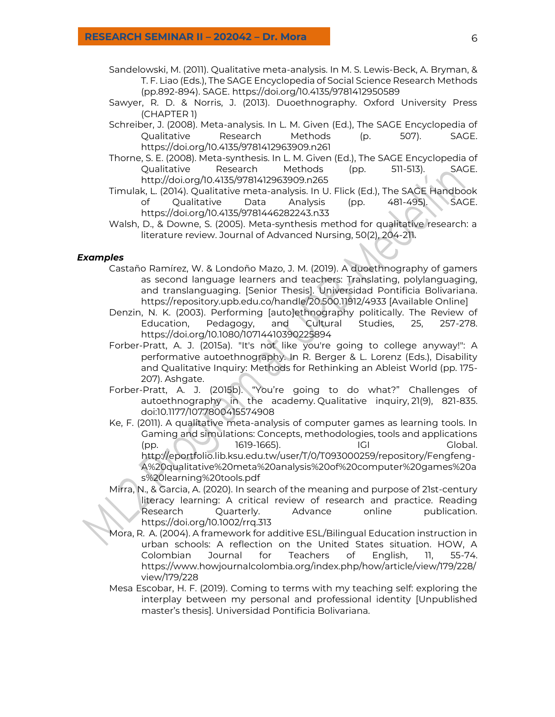- Sandelowski, M. (2011). Qualitative meta-analysis. In M. S. Lewis-Beck, A. Bryman, & T. F. Liao (Eds.), The SAGE Encyclopedia of Social Science Research Methods (pp.892-894). SAGE.<https://doi.org/10.4135/9781412950589>
- Sawyer, R. D. & Norris, J. (2013). Duoethnography. Oxford University Press (CHAPTER 1)
- Schreiber, J. (2008). Meta-analysis. In L. M. Given (Ed.), The SAGE Encyclopedia of Qualitative Research Methods (p. 507). SAGE. <https://doi.org/10.4135/9781412963909.n261>
- Thorne, S. E. (2008). Meta-synthesis. In L. M. Given (Ed.), The SAGE Encyclopedia of Qualitative Research Methods (pp. 511-513). SAGE. <http://doi.org/10.4135/9781412963909.n265>
- Timulak, L. (2014). Qualitative meta-analysis. In U. Flick (Ed.), The SAGE Handbook of Qualitative Data Analysis (pp. 481-495). SAGE. <https://doi.org/10.4135/9781446282243.n33>
- Walsh, D., & Downe, S. (2005). Meta-synthesis method for qualitative research: a literature review. Journal of Advanced Nursing, 50(2), 204-211.

#### *Examples*

- Castaño Ramírez, W. & Londoño Mazo, J. M. (2019). A duoethnography of gamers as second language learners and teachers: Translating, polylanguaging, and translanguaging. [Senior Thesis]. Universidad Pontificia Bolivariana. <https://repository.upb.edu.co/handle/20.500.11912/4933> [Available Online]
- Denzin, N. K. (2003). Performing [auto]ethnography politically. The Review of Education, Pedagogy, and Cultural Studies, 25, 257-278. <https://doi.org/10.1080/10714410390225894>
- Forber-Pratt, A. J. (2015a). "It's not like you're going to college anyway!": A performative autoethnography. In R. Berger & L. Lorenz (Eds.), Disability and Qualitative Inquiry: Methods for Rethinking an Ableist World (pp. 175- 207). Ashgate.
- Forber-Pratt, A. J. (2015b). "You're going to do what?" Challenges of autoethnography in the academy. Qualitative inquiry, 21(9), 821-835. doi:10.1177/1077800415574908
- Ke, F. (2011). A qualitative meta-analysis of computer games as learning tools. In Gaming and simulations: Concepts, methodologies, tools and applications (pp. 1619-1665). IGI Global. [http://eportfolio.lib.ksu.edu.tw/user/T/0/T093000259/repository/Fengfeng-](http://eportfolio.lib.ksu.edu.tw/user/T/0/T093000259/repository/Fengfeng-A%20qualitative%20meta%20analysis%20of%20computer%20games%20as%20learning%20tools.pdf)[A%20qualitative%20meta%20analysis%20of%20computer%20games%20a](http://eportfolio.lib.ksu.edu.tw/user/T/0/T093000259/repository/Fengfeng-A%20qualitative%20meta%20analysis%20of%20computer%20games%20as%20learning%20tools.pdf) [s%20learning%20tools.pdf](http://eportfolio.lib.ksu.edu.tw/user/T/0/T093000259/repository/Fengfeng-A%20qualitative%20meta%20analysis%20of%20computer%20games%20as%20learning%20tools.pdf)
- Mirra, N., & Garcia, A. (2020). In search of the meaning and purpose of 21st‐century literacy learning: A critical review of research and practice. Reading Research Quarterly. Advance online publication. <https://doi.org/10.1002/rrq.313>
- Mora, R. A. (2004). A framework for additive ESL/Bilingual Education instruction in urban schools: A reflection on the United States situation. HOW, A Colombian Journal for Teachers of English, 11, 55-74. [https://www.howjournalcolombia.org/index.php/how/article/view/179/228/](https://www.howjournalcolombia.org/index.php/how/article/view/179/228/view/179/228) [view/179/228](https://www.howjournalcolombia.org/index.php/how/article/view/179/228/view/179/228)
- Mesa Escobar, H. F. (2019). Coming to terms with my teaching self: exploring the interplay between my personal and professional identity [Unpublished master's thesis]. Universidad Pontificia Bolivariana.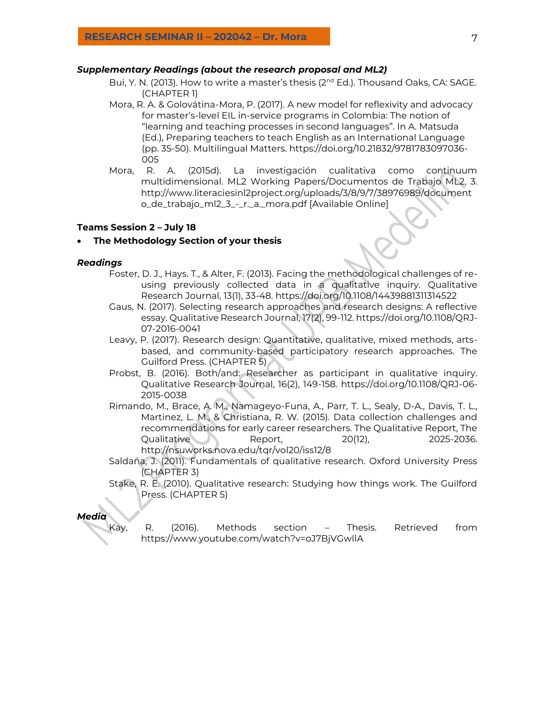#### *Supplementary Readings (about the research proposal and ML2)*

- Bui, Y. N. (2013). How to write a master's thesis (2<sup>nd</sup> Ed.). Thousand Oaks, CA: SAGE. (CHAPTER 1)
- Mora, R. A. & Golovátina-Mora, P. (2017). A new model for reflexivity and advocacy for master's-level EIL in-service programs in Colombia: The notion of "learning and teaching processes in second languages". In A. Matsuda (Ed.), Preparing teachers to teach English as an International Language (pp. 35-50). Multilingual Matters. [https://doi.org/10.21832/9781783097036-](https://doi.org/10.21832/9781783097036-005) [005](https://doi.org/10.21832/9781783097036-005)
- Mora, R. A. (2015d). La investigación cualitativa como continuum multidimensional. ML2 Working Papers/Documentos de Trabajo ML2, 3. [http://www.literaciesinl2project.org/uploads/3/8/9/7/38976989/document](http://www.literaciesinl2project.org/uploads/3/8/9/7/38976989/documento_de_trabajo_ml2_3_-_r._a._mora.pdf) [o\\_de\\_trabajo\\_ml2\\_3\\_-\\_r.\\_a.\\_mora.pdf](http://www.literaciesinl2project.org/uploads/3/8/9/7/38976989/documento_de_trabajo_ml2_3_-_r._a._mora.pdf) [Available Online]

## **Teams Session 2 – July 18**

#### **The Methodology Section of your thesis**

### *Readings*

- Foster, D. J., Hays. T., & Alter, F. (2013). Facing the methodological challenges of reusing previously collected data in a qualitative inquiry. Qualitative Research Journal, 13(1), 33-48.<https://doi.org/10.1108/14439881311314522>
- Gaus, N. (2017). Selecting research approaches and research designs: A reflective essay. Qualitative Research Journal, 17(2), 99-112. [https://doi.org/10.1108/QRJ-](https://doi.org/10.1108/QRJ-07-2016-0041)[07-2016-0041](https://doi.org/10.1108/QRJ-07-2016-0041)
- Leavy, P. (2017). Research design: Quantitative, qualitative, mixed methods, artsbased, and community-based participatory research approaches. The Guilford Press. (CHAPTER 5)
- Probst, B. (2016). Both/and: Researcher as participant in qualitative inquiry. Qualitative Research Journal, 16(2), 149-158. [https://doi.org/10.1108/QRJ-06-](https://doi.org/10.1108/QRJ-06-2015-0038) [2015-0038](https://doi.org/10.1108/QRJ-06-2015-0038)
- Rimando, M., Brace, A. M., Namageyo-Funa, A., Parr, T. L., Sealy, D-A., Davis, T. L., Martinez, L. M., & Christiana, R. W. (2015). Data collection challenges and recommendations for early career researchers. The Qualitative Report, The Qualitative Report, 20(12), 2025-2036. <http://nsuworks.nova.edu/tqr/vol20/iss12/8>
- Saldaña, J. (2011). Fundamentals of qualitative research. Oxford University Press (CHAPTER 3)
- Stake, R. E. (2010). Qualitative research: Studying how things work. The Guilford Press. (CHAPTER 5)

#### *Media*

Kay, R. (2016). Methods section – Thesis. Retrieved from <https://www.youtube.com/watch?v=oJ7BjVGwIlA>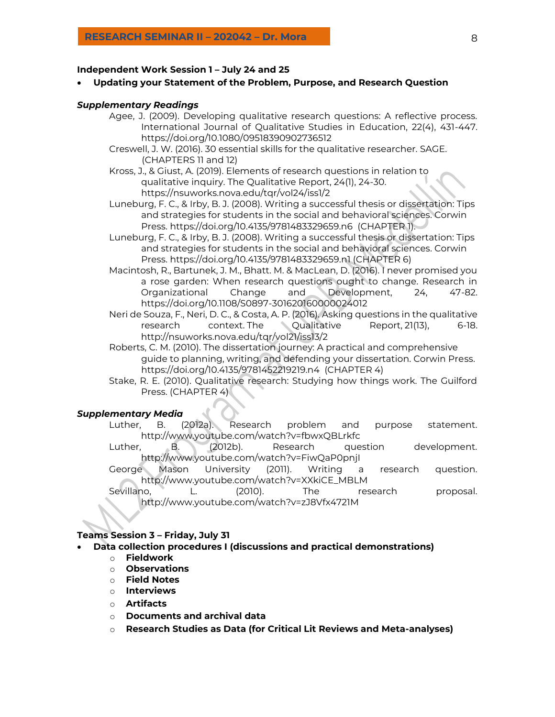### **Independent Work Session 1 – July 24 and 25**

#### **Updating your Statement of the Problem, Purpose, and Research Question**

#### *Supplementary Readings*

- Agee, J. (2009). Developing qualitative research questions: A reflective process. International Journal of Qualitative Studies in Education, 22(4), 431-447. <https://doi.org/10.1080/09518390902736512>
- Creswell, J. W. (2016). 30 essential skills for the qualitative researcher. SAGE. (CHAPTERS 11 and 12)
- Kross, J., & Giust, A. (2019). Elements of research questions in relation to qualitative inquiry. The Qualitative Report, 24(1), 24-30. <https://nsuworks.nova.edu/tqr/vol24/iss1/2>
- Luneburg, F. C., & Irby, B. J. (2008). Writing a successful thesis or dissertation: Tips and strategies for students in the social and behavioral sciences. Corwin Press.<https://doi.org/10.4135/9781483329659.n6>(CHAPTER 1).
- Luneburg, F. C., & Irby, B. J. (2008). Writing a successful thesis or dissertation: Tips and strategies for students in the social and behavioral sciences. Corwin Press.<https://doi.org/10.4135/9781483329659.n1> (CHAPTER 6)
- Macintosh, R., Bartunek, J. M., Bhatt. M. & MacLean, D. (2016). I never promised you a rose garden: When research questions ought to change. Research in Organizational Change and Development, 24, 47-82. <https://doi.org/10.1108/S0897-301620160000024012>
- Neri de Souza, F., Neri, D. C., & Costa, A. P. (2016). Asking questions in the qualitative research context. The Qualitative Report, 21(13), 6-18. <http://nsuworks.nova.edu/tqr/vol21/iss13/2>
- Roberts, C. M. (2010). The dissertation journey: A practical and comprehensive guide to planning, writing, and defending your dissertation. Corwin Press. <https://doi.org/10.4135/9781452219219.n4>(CHAPTER 4)
- Stake, R. E. (2010). Qualitative research: Studying how things work. The Guilford Press. (CHAPTER 4)

#### *Supplementary Media*

- Luther, B. (2012a). Research problem and purpose statement. <http://www.youtube.com/watch?v=fbwxQBLrkfc>
- Luther, B. (2012b). Research question development. <http://www.youtube.com/watch?v=FiwQaP0pnjI>

George Mason University (2011). Writing a research question. [http://www.youtube.com/watch?v=XXkiCE\\_MBLM](http://www.youtube.com/watch?v=XXkiCE_MBLM)

Sevillano, L. (2010). The research proposal. <http://www.youtube.com/watch?v=zJ8Vfx4721M>

### **Teams Session 3 – Friday, July 31**

- **Data collection procedures I (discussions and practical demonstrations)**
	- o **Fieldwork**
	- o **Observations**
	- o **Field Notes**
	- o **Interviews**
	- o **Artifacts**
	- o **Documents and archival data**
	- o **Research Studies as Data (for Critical Lit Reviews and Meta-analyses)**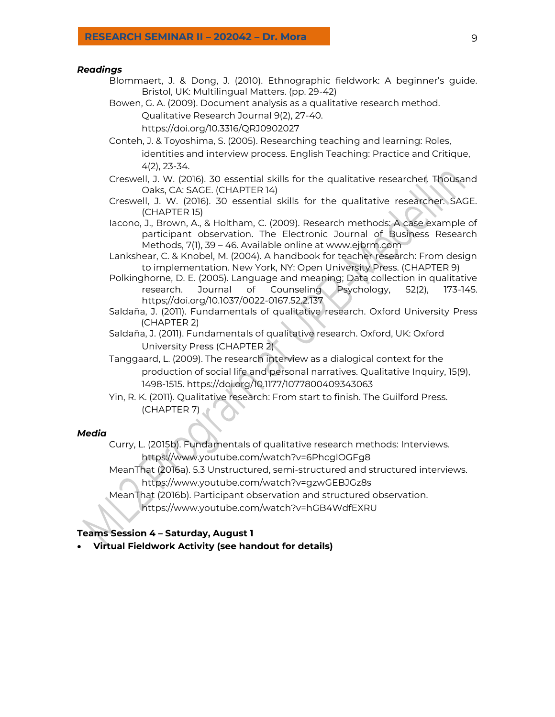### *Readings*

- Blommaert, J. & Dong, J. (2010). Ethnographic fieldwork: A beginner's guide. Bristol, UK: Multilingual Matters. (pp. 29-42)
- Bowen, G. A. (2009). Document analysis as a qualitative research method.

Qualitative Research Journal 9(2), 27-40.

<https://doi.org/10.3316/QRJ0902027>

Conteh, J. & Toyoshima, S. (2005). Researching teaching and learning: Roles, identities and interview process. English Teaching: Practice and Critique, 4(2), 23-34.

- Creswell, J. W. (2016). 30 essential skills for the qualitative researcher. Thousand Oaks, CA: SAGE. (CHAPTER 14)
- Creswell, J. W. (2016). 30 essential skills for the qualitative researcher. SAGE. (CHAPTER 15)
- Iacono, J., Brown, A., & Holtham, C. (2009). Research methods: A case example of participant observation. The Electronic Journal of Business Research Methods, 7(1), 39 – 46. Available online at www.ejbrm.com

Lankshear, C. & Knobel, M. (2004). A handbook for teacher research: From design to implementation. New York, NY: Open University Press. (CHAPTER 9)

- Polkinghorne, D. E. (2005). Language and meaning; Data collection in qualitative research. Journal of Counseling Psychology, 52(2), 173-145. https;//doi.org/10.1037/0022-0167.52.2.137
- Saldaña, J. (2011). Fundamentals of qualitative research. Oxford University Press (CHAPTER 2)
- Saldaña, J. (2011). Fundamentals of qualitative research. Oxford, UK: Oxford University Press (CHAPTER 2)
- Tanggaard, L. (2009). The research interview as a dialogical context for the production of social life and personal narratives. Qualitative Inquiry, 15(9), 1498-1515.<https://doi.org/10.1177/1077800409343063>
- Yin, R. K. (2011). Qualitative research: From start to finish. The Guilford Press. (CHAPTER 7)

#### *Media*

Curry, L. (2015b). Fundamentals of qualitative research methods: Interviews. <https://www.youtube.com/watch?v=6PhcglOGFg8>

MeanThat (2016a). 5.3 Unstructured, semi-structured and structured interviews. <https://www.youtube.com/watch?v=gzwGEBJGz8s>

MeanThat (2016b). Participant observation and structured observation.

<https://www.youtube.com/watch?v=hGB4WdfEXRU>

### **Teams Session 4 – Saturday, August 1**

**Virtual Fieldwork Activity (see handout for details)**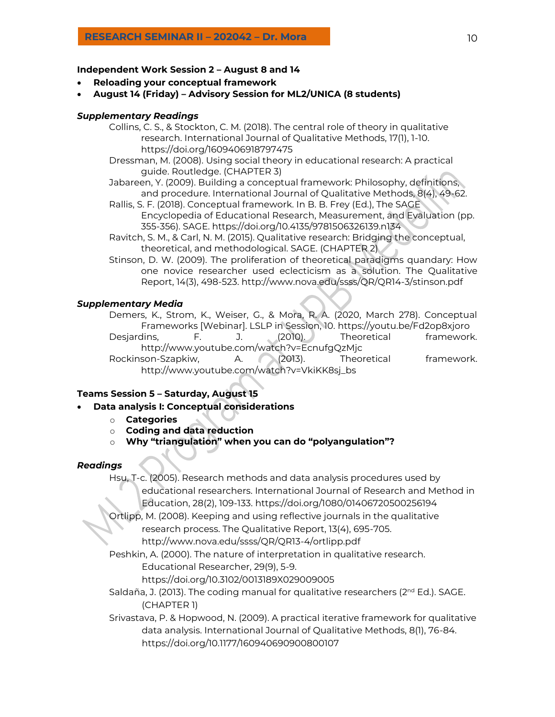# **Independent Work Session 2 – August 8 and 14**

- **Reloading your conceptual framework**
- **August 14 (Friday) – Advisory Session for ML2/UNICA (8 students)**

# *Supplementary Readings*

- Collins, C. S., & Stockton, C. M. (2018). The central role of theory in qualitative research. International Journal of Qualitative Methods, 17(1), 1-10. <https://doi.org/1609406918797475>
- Dressman, M. (2008). Using social theory in educational research: A practical guide. Routledge. (CHAPTER 3)
- Jabareen, Y. (2009). Building a conceptual framework: Philosophy, definitions, and procedure. International Journal of Qualitative Methods, 8(4), 49-62.
- Rallis, S. F. (2018). Conceptual framework. In B. B. Frey (Ed.), The SAGE Encyclopedia of Educational Research, Measurement, and Evaluation (pp. 355-356). SAGE. <https://doi.org/10.4135/9781506326139.n134>
- Ravitch, S. M., & Carl, N. M. (2015). Qualitative research: Bridging the conceptual, theoretical, and methodological. SAGE. (CHAPTER 2)
- Stinson, D. W. (2009). The proliferation of theoretical paradigms quandary: How one novice researcher used eclecticism as a solution. The Qualitative Report, 14(3), 498-523. <http://www.nova.edu/ssss/QR/QR14-3/stinson.pdf>

# *Supplementary Media*

Demers, K., Strom, K., Weiser, G., & Mora, R. A. (2020, March 278). Conceptual Frameworks [Webinar]. LSLP in Session, 10.<https://youtu.be/Fd2op8xjoro> Desjardins, F. J. (2010). Theoretical framework. <http://www.youtube.com/watch?v=EcnufgQzMjc> Rockinson-Szapkiw, A. (2013). Theoretical framework. [http://www.youtube.com/watch?v=VkiKK8sj\\_bs](http://www.youtube.com/watch?v=VkiKK8sj_bs)

# **Teams Session 5 – Saturday, August 15**

- **Data analysis I: Conceptual considerations**
	- o **Categories**
	- o **Coding and data reduction**
	- o **Why "triangulation" when you can do "polyangulation"?**

# *Readings*

Hsu, T-c. (2005). Research methods and data analysis procedures used by educational researchers. International Journal of Research and Method in Education, 28(2), 109-133.<https://doi.org/1080/01406720500256194>

Ortlipp, M. (2008). Keeping and using reflective journals in the qualitative

research process. The Qualitative Report, 13(4), 695-705.

<http://www.nova.edu/ssss/QR/QR13-4/ortlipp.pdf>

Peshkin, A. (2000). The nature of interpretation in qualitative research.

Educational Researcher, 29(9), 5-9.

<https://doi.org/10.3102/0013189X029009005>

Saldaña, J. (2013). The coding manual for qualitative researchers (2<sup>nd</sup> Ed.). SAGE. (CHAPTER 1)

Srivastava, P. & Hopwood, N. (2009). A practical iterative framework for qualitative data analysis. International Journal of Qualitative Methods, 8(1), 76-84. <https://doi.org/10.1177/160940690900800107>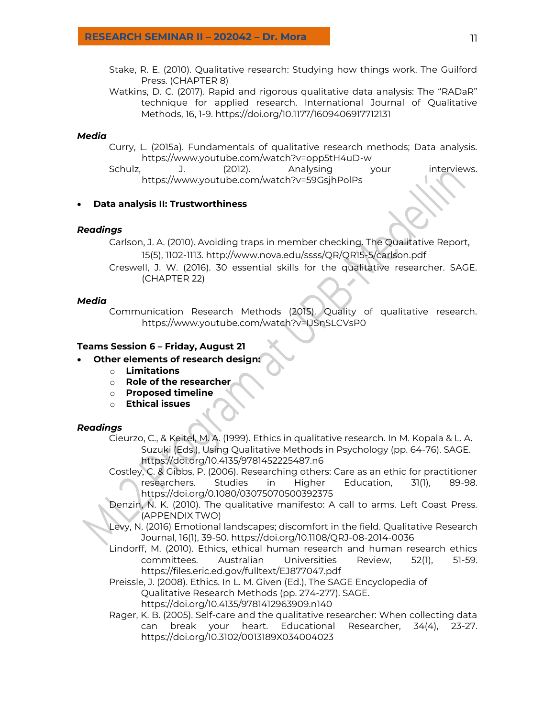- Stake, R. E. (2010). Qualitative research: Studying how things work. The Guilford Press. (CHAPTER 8)
- Watkins, D. C. (2017). Rapid and rigorous qualitative data analysis: The "RADaR" technique for applied research. International Journal of Qualitative Methods, 16, 1-9[. https://doi.org/10.1177/1609406917712131](https://doi.org/10.1177/1609406917712131)

#### *Media*

Curry, L. (2015a). Fundamentals of qualitative research methods; Data analysis. <https://www.youtube.com/watch?v=opp5tH4uD-w>

| Schulz,                                     |  | (2012). | Analysing | vour | interviews. |
|---------------------------------------------|--|---------|-----------|------|-------------|
| https://www.youtube.com/watch?v=59GsjhPolPs |  |         |           |      |             |

#### **Data analysis II: Trustworthiness**

## *Readings*

- Carlson, J. A. (2010). Avoiding traps in member checking. The Qualitative Report, 15(5), 1102-1113.<http://www.nova.edu/ssss/QR/QR15-5/carlson.pdf>
- Creswell, J. W. (2016). 30 essential skills for the qualitative researcher. SAGE. (CHAPTER 22)

#### *Media*

Communication Research Methods (2015). Quality of qualitative research. <https://www.youtube.com/watch?v=IJSnSLCVsP0>

#### **Teams Session 6 – Friday, August 21**

# **Other elements of research design:**

- o **Limitations**
- o **Role of the researcher**
- o **Proposed timeline**
- o **Ethical issues**

#### *Readings*

- Cieurzo, C., & Keitel, M. A. (1999). Ethics in qualitative research. In M. Kopala & L. A. Suzuki (Eds.), Using Qualitative Methods in Psychology (pp. 64-76). SAGE. <https://doi.org/10.4135/9781452225487.n6>
- Costley, C. & Gibbs, P. (2006). Researching others: Care as an ethic for practitioner researchers. Studies in Higher Education, 31(1), 89-98. <https://doi.org/0.1080/03075070500392375>
- Denzin, N. K. (2010). The qualitative manifesto: A call to arms. Left Coast Press. (APPENDIX TWO)
- Levy, N. (2016) Emotional landscapes; discomfort in the field. Qualitative Research Journal, 16(1), 39-50.<https://doi.org/10.1108/QRJ-08-2014-0036>
- Lindorff, M. (2010). Ethics, ethical human research and human research ethics committees. Australian Universities Review, 52(1), 51-59. <https://files.eric.ed.gov/fulltext/EJ877047.pdf>
- Preissle, J. (2008). Ethics. In L. M. Given (Ed.), The SAGE Encyclopedia of Qualitative Research Methods (pp. 274-277). SAGE. <https://doi.org/10.4135/9781412963909.n140>
- Rager, K. B. (2005). Self-care and the qualitative researcher: When collecting data can break your heart. Educational Researcher, 34(4), 23-27. <https://doi.org/10.3102/0013189X034004023>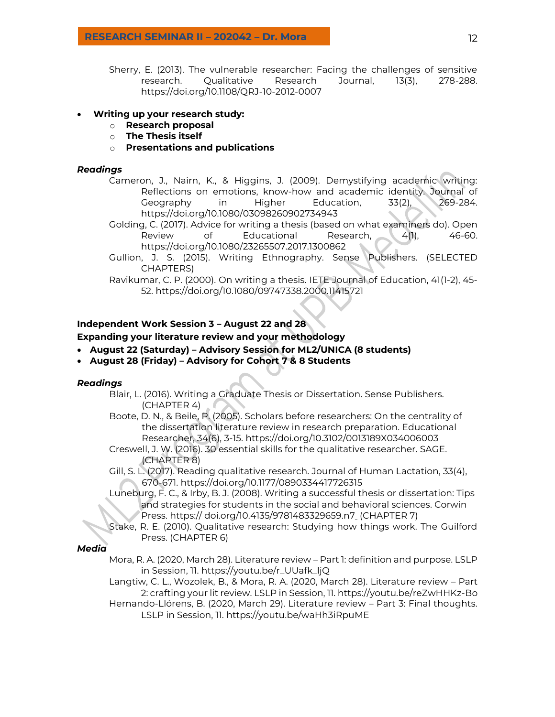Sherry, E. (2013). The vulnerable researcher: Facing the challenges of sensitive research. Qualitative Research Journal, 13(3), 278-288. <https://doi.org/10.1108/QRJ-10-2012-0007>

# **Writing up your research study:**

- o **Research proposal**
- o **The Thesis itself**
- o **Presentations and publications**

### *Readings*

- Cameron, J., Nairn, K., & Higgins, J. (2009). Demystifying academic writing: Reflections on emotions, know-how and academic identity. Journal of Geography in Higher Education, 33(2), 269-284. <https://doi.org/10.1080/03098260902734943>
- Golding, C. (2017). Advice for writing a thesis (based on what examiners do). Open Review of Educational Research, 4(1), 46-60. <https://doi.org/10.1080/23265507.2017.1300862>
- Gullion, J. S. (2015). Writing Ethnography. Sense Publishers. (SELECTED CHAPTERS)
- Ravikumar, C. P. (2000). On writing a thesis. IETE Journal of Education, 41(1-2), 45- 52[. https://doi.org/10.1080/09747338.2000.11415721](https://doi.org/10.1080/09747338.2000.11415721)

## **Independent Work Session 3 – August 22 and 28**

**Expanding your literature review and your methodology**

- **August 22 (Saturday) – Advisory Session for ML2/UNICA (8 students)**
- **August 28 (Friday) – Advisory for Cohort 7 & 8 Students**

# *Readings*

- Blair, L. (2016). Writing a Graduate Thesis or Dissertation. Sense Publishers. (CHAPTER 4)
- Boote, D. N., & Beile, P. (2005). Scholars before researchers: On the centrality of the dissertation literature review in research preparation. Educational Researcher, 34(6), 3-15.<https://doi.org/10.3102/0013189X034006003>
- Creswell, J. W. (2016). 30 essential skills for the qualitative researcher. SAGE. (CHAPTER 8)
- Gill, S. L. (2017). Reading qualitative research. Journal of Human Lactation, 33(4), 670-671.<https://doi.org/10.1177/0890334417726315>
- Luneburg, F. C., & Irby, B. J. (2008). Writing a successful thesis or dissertation: Tips and strategies for students in the social and behavioral sciences. Corwin Press. https:// doi.org/10.4135/9781483329659.n7 (CHAPTER 7)
- Stake, R. E. (2010). Qualitative research: Studying how things work. The Guilford Press. (CHAPTER 6)

#### *Media*

- Mora, R. A. (2020, March 28). Literature review Part 1: definition and purpose. LSLP in Session, 11. [https://youtu.be/r\\_UUafk\\_ljQ](https://youtu.be/r_UUafk_ljQ)
- Langtiw, C. L., Wozolek, B., & Mora, R. A. (2020, March 28). Literature review Part 2: crafting your lit review. LSLP in Session, 11[. https://youtu.be/reZwHHKz-Bo](https://youtu.be/reZwHHKz-Bo) Hernando-Llórens, B. (2020, March 29). Literature review – Part 3: Final thoughts. LSLP in Session, 11.<https://youtu.be/waHh3iRpuME>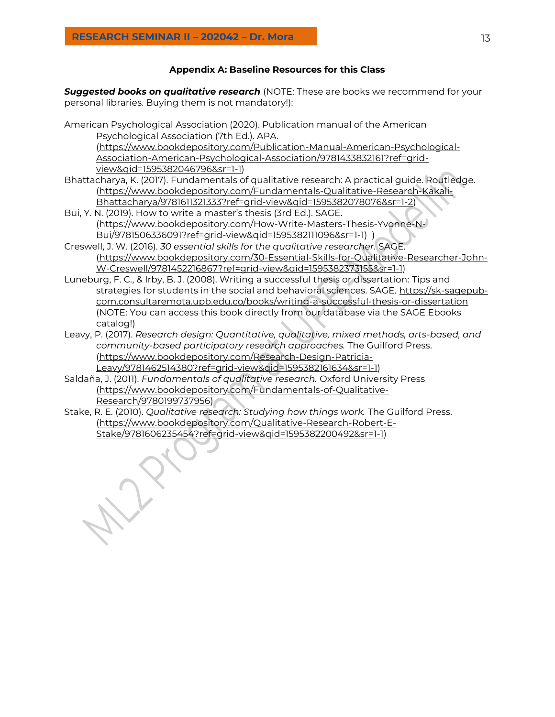## **Appendix A: Baseline Resources for this Class**

*Suggested books on qualitative research* (NOTE: These are books we recommend for your personal libraries. Buying them is not mandatory!):

- American Psychological Association (2020). Publication manual of the American Psychological Association (7th Ed.). APA. [\(https://www.bookdepository.com/Publication-Manual-American-Psychological-](https://www.bookdepository.com/Publication-Manual-American-Psychological-Association-American-Psychological-Association/9781433832161?ref=grid-view&qid=1595382046796&sr=1-1)[Association-American-Psychological-Association/9781433832161?ref=grid](https://www.bookdepository.com/Publication-Manual-American-Psychological-Association-American-Psychological-Association/9781433832161?ref=grid-view&qid=1595382046796&sr=1-1)[view&qid=1595382046796&sr=1-1\)](https://www.bookdepository.com/Publication-Manual-American-Psychological-Association-American-Psychological-Association/9781433832161?ref=grid-view&qid=1595382046796&sr=1-1)
- Bhattacharya, K. (2017). Fundamentals of qualitative research: A practical guide. Routledge. [\(https://www.bookdepository.com/Fundamentals-Qualitative-Research-Kakali-](https://www.bookdepository.com/Fundamentals-Qualitative-Research-Kakali-Bhattacharya/9781611321333?ref=grid-view&qid=1595382078076&sr=1-2)[Bhattacharya/9781611321333?ref=grid-view&qid=1595382078076&sr=1-2\)](https://www.bookdepository.com/Fundamentals-Qualitative-Research-Kakali-Bhattacharya/9781611321333?ref=grid-view&qid=1595382078076&sr=1-2)
- Bui, Y. N. (2019). How to write a master's thesis (3rd Ed.). SAGE. (https://www.bookdepository.com/How-Write-Masters-Thesis-Yvonne-N-Bui/9781506336091?ref=grid-view&qid=1595382111096&sr=1-1) )
- Creswell, J. W. (2016). *30 essential skills for the qualitative researcher.* SAGE. [\(https://www.bookdepository.com/30-Essential-Skills-for-Qualitative-Researcher-John-](https://www.bookdepository.com/30-Essential-Skills-for-Qualitative-Researcher-John-W-Creswell/9781452216867?ref=grid-view&qid=1595382373155&sr=1-1)[W-Creswell/9781452216867?ref=grid-view&qid=1595382373155&sr=1-1\)](https://www.bookdepository.com/30-Essential-Skills-for-Qualitative-Researcher-John-W-Creswell/9781452216867?ref=grid-view&qid=1595382373155&sr=1-1)
- Luneburg, F. C., & Irby, B. J. (2008). Writing a successful thesis or dissertation: Tips and strategies for students in the social and behavioral sciences. SAGE. [https://sk-sagepub](https://sk-sagepub-com.consultaremota.upb.edu.co/books/writing-a-successful-thesis-or-dissertation)[com.consultaremota.upb.edu.co/books/writing-a-successful-thesis-or-dissertation](https://sk-sagepub-com.consultaremota.upb.edu.co/books/writing-a-successful-thesis-or-dissertation) (NOTE: You can access this book directly from our database via the SAGE Ebooks catalog!)
- Leavy, P. (2017). *Research design: Quantitative, qualitative, mixed methods, arts-based, and community-based participatory research approaches.* The Guilford Press. [\(https://www.bookdepository.com/Research-Design-Patricia-](https://www.bookdepository.com/Research-Design-Patricia-Leavy/9781462514380?ref=grid-view&qid=1595382161634&sr=1-1)[Leavy/9781462514380?ref=grid-view&qid=1595382161634&sr=1-1\)](https://www.bookdepository.com/Research-Design-Patricia-Leavy/9781462514380?ref=grid-view&qid=1595382161634&sr=1-1)
- Saldaña, J. (2011). *Fundamentals of qualitative research.* Oxford University Press [\(https://www.bookdepository.com/Fundamentals-of-Qualitative-](https://www.bookdepository.com/Fundamentals-of-Qualitative-Research/9780199737956)[Research/9780199737956\)](https://www.bookdepository.com/Fundamentals-of-Qualitative-Research/9780199737956)
- Stake, R. E. (2010). *Qualitative research: Studying how things work.* The Guilford Press. [\(https://www.bookdepository.com/Qualitative-Research-Robert-E-](https://www.bookdepository.com/Qualitative-Research-Robert-E-Stake/9781606235454?ref=grid-view&qid=1595382200492&sr=1-1)[Stake/9781606235454?ref=grid-view&qid=1595382200492&sr=1-1\)](https://www.bookdepository.com/Qualitative-Research-Robert-E-Stake/9781606235454?ref=grid-view&qid=1595382200492&sr=1-1)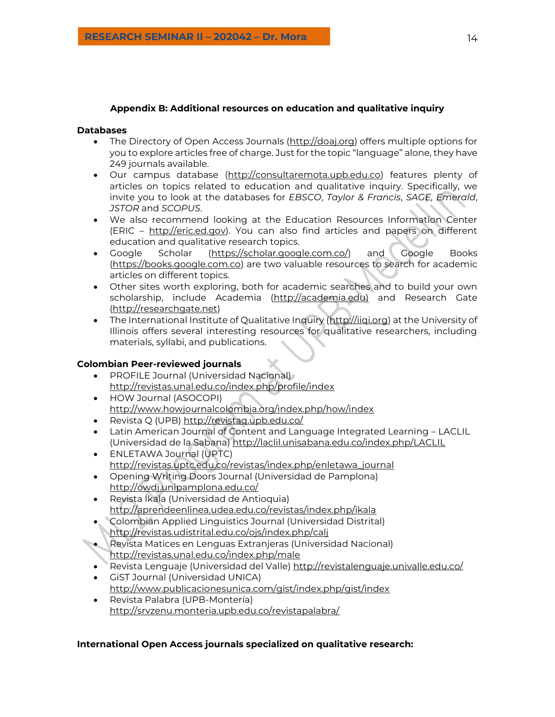# **Appendix B: Additional resources on education and qualitative inquiry**

# **Databases**

- The Directory of Open Access Journals [\(http://doaj.org\)](http://doaj.org/) offers multiple options for you to explore articles free of charge. Just for the topic "language" alone, they have 249 journals available.
- Our campus database [\(http://consultaremota.upb.edu.co\)](http://consultaremota.upb.edu.co/) features plenty of articles on topics related to education and qualitative inquiry. Specifically, we invite you to look at the databases for *EBSCO*, *Taylor & Francis*, *SAGE, Emerald*, *JSTOR* and *SCOPUS*.
- We also recommend looking at the Education Resources Information Center (ERIC – [http://eric.ed.gov\)](http://eric.ed.gov/). You can also find articles and papers on different education and qualitative research topics.
- Google Scholar [\(https://scholar.google.com.co/\)](https://scholar.google.com.co/) and Google Books [\(https://books.google.com.co\)](https://books.google.com.co/) are two valuable resources to search for academic articles on different topics.
- Other sites worth exploring, both for academic searches and to build your own scholarship, include Academia [\(http://academia.edu\)](http://academia.edu/) and Research Gate [\(http://researchgate.net\)](http://researchgate.net/)
- The International Institute of Qualitative Inquiry [\(http://iiqi.org\)](http://iiqi.org/) at the University of Illinois offers several interesting resources for qualitative researchers, including materials, syllabi, and publications.

# **Colombian Peer-reviewed journals**

- PROFILE Journal (Universidad Nacional) <http://revistas.unal.edu.co/index.php/profile/index>
- HOW Journal (ASOCOPI) <http://www.howjournalcolombia.org/index.php/how/index>
- Revista Q (UPB[\) http://revistaq.upb.edu.co/](http://revistaq.upb.edu.co/)
- Latin American Journal of Content and Language Integrated Learning LACLIL (Universidad de la Sabana)<http://laclil.unisabana.edu.co/index.php/LACLIL>
- ENLETAWA Journal (UPTC) [http://revistas.uptc.edu.co/revistas/index.php/enletawa\\_journal](http://revistas.uptc.edu.co/revistas/index.php/enletawa_journal)
- Opening Writing Doors Journal (Universidad de Pamplona) <http://owdj.unipamplona.edu.co/>
- Revista Íkala (Universidad de Antioquia) <http://aprendeenlinea.udea.edu.co/revistas/index.php/ikala>
- Colombian Applied Linguistics Journal (Universidad Distrital) <http://revistas.udistrital.edu.co/ojs/index.php/calj>
- Revista Matices en Lenguas Extranjeras (Universidad Nacional) <http://revistas.unal.edu.co/index.php/male>
- Revista Lenguaje (Universidad del Valle)<http://revistalenguaje.univalle.edu.co/>
- GiST Journal (Universidad UNICA) <http://www.publicacionesunica.com/gist/index.php/gist/index>
- Revista Palabra (UPB-Montería) <http://srvzenu.monteria.upb.edu.co/revistapalabra/>

# **International Open Access journals specialized on qualitative research:**